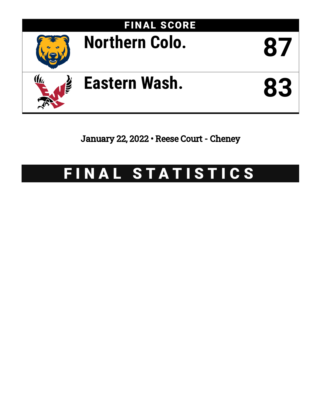

January 22, 2022 • Reese Court - Cheney

# FINAL STATISTICS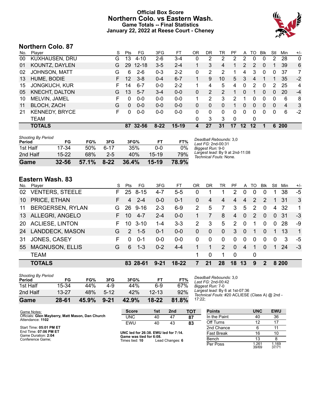#### **Official Box Score Northern Colo. vs Eastern Wash. Game Totals -- Final Statistics January 22, 2022 at Reese Court - Cheney**



# **Northern Colo. 87**

| No. | Plaver                | S  | <b>Pts</b> | FG.       | 3FG     | FT      | OR | DR | TR | PF | A  | TO | Blk          | Stl | Min            | $+/-$        |
|-----|-----------------------|----|------------|-----------|---------|---------|----|----|----|----|----|----|--------------|-----|----------------|--------------|
| 00  | KUXHAUSEN, DRU        | G  | 13         | $4 - 10$  | $2-6$   | $3 - 4$ | 0  | 2  | 2  | 2  | 2  | 0  | 0            | 2   | 28             | $\mathbf{0}$ |
| 01  | KOUNTZ, DAYLEN        | G  | 29         | $12 - 18$ | $3 - 5$ | $2 - 4$ |    | 3  | 4  |    | 2  | 2  | $\mathbf{0}$ |     | 39             | 6            |
| 02  | <b>JOHNSON, MATT</b>  | G  | 6          | $2-6$     | $0 - 3$ | $2 - 2$ | 0  | 2  | 2  |    | 4  | 3  | 0            | 0   | 37             | 7            |
| 13  | HUME, BODIE           | F. | 12         | $3 - 8$   | $0 - 4$ | $6 - 7$ | 1. | 9  | 10 | 5  | 3  | 4  |              |     | 35             | $-2$         |
| 15  | <b>JONGKUCH, KUR</b>  | F. | 14         | $6 - 7$   | $0 - 0$ | $2 - 2$ | 1. | 4  | 5  | 4  | 0  | 2  | 0            | 2   | 25             | 4            |
| 05  | <b>KNECHT, DALTON</b> | G  | 13         | $5 - 7$   | $3 - 4$ | $0 - 0$ | 0  | 2  | 2  |    | 0  | 1  | 0            | 0   | 20             | $-4$         |
| 10  | MELVIN, JAMEL         | F  | 0          | $0 - 0$   | $0 - 0$ | $0 - 0$ | 1  | 2  | 3  | 2  | 1  | 0  | 0            | 0   | 6              | 8            |
| 11  | <b>BLOCH, ZACH</b>    | G  | $\Omega$   | $0 - 0$   | $0 - 0$ | $0 - 0$ | 0  | 0  | 0  | 1  | 0  | 0  | $\Omega$     | 0   | $\overline{4}$ | 3            |
| 21  | <b>KENNEDY, BRYCE</b> | F  | 0          | $0 - 0$   | $0-0$   | $0-0$   | 0  | 0  | 0  | 0  | 0  | 0  | 0            | 0   | 6              | $-2$         |
|     | <b>TEAM</b>           |    |            |           |         |         | 0  | 3  | 3  | 0  |    | 0  |              |     |                |              |
|     | <b>TOTALS</b>         |    | 87         | $32 - 56$ | $8-22$  | $15-19$ | 4  | 27 | 31 | 17 | 12 | 12 | 1            | 6   | <b>200</b>     |              |

| Game                                | 32-56     | 57.1% | $8 - 22$ | 36.4% | 15-19     | 78.9% |
|-------------------------------------|-----------|-------|----------|-------|-----------|-------|
| 2nd Half                            | $15 - 22$ | 68%   | $2 - 5$  | 40%   | $15 - 19$ | 79%   |
| 1st Half                            | 17-34     | 50%   | հ-17     | 35%   | 0-0       | 0%    |
| <b>Shooting By Period</b><br>Period | FG        | FG%   | 3FG      | 3FG%  | FT        | FT%   |

*Deadball Rebounds:* 3,0 *Last FG:* 2nd-00:31 *Biggest Run:* 9-0 *Largest lead:* By 9 at 2nd-11:08 *Technical Fouls:* None.

# **Eastern Wash. 83**

| No.       | Player                  | S. | Pts            | FG       | 3FG      | FT      | OR            | DR          | TR            | PF             | A            | TO            | Blk           | Stl          | Min   | $+/-$        |
|-----------|-------------------------|----|----------------|----------|----------|---------|---------------|-------------|---------------|----------------|--------------|---------------|---------------|--------------|-------|--------------|
| 02        | <b>VENTERS, STEELE</b>  | F. | 25             | $8 - 15$ | $4 - 7$  | $5 - 5$ | 0             |             |               | 2              | $\Omega$     | 0             | 0             |              | 38    | -5           |
| 10        | PRICE, ETHAN            | F  | $\overline{4}$ | $2 - 4$  | $0-0$    | $0 - 1$ | 0             | 4           | 4             | 4              | 4            | $\mathcal{P}$ | $\mathcal{P}$ |              | -31   | 3            |
| 11        | <b>BERGERSEN, RYLAN</b> | G  | 26             | $9 - 16$ | $2 - 3$  | $6-9$   | $\mathcal{P}$ | 5           | 7             | 3              | 5            | $\mathcal{P}$ | $\Omega$      | 4            | -32   | 1            |
| 13        | ALLEGRI, ANGELO         |    | 10             | $4 - 7$  | $2 - 4$  | $0 - 0$ |               |             | 8             | 4              | $\mathbf{0}$ | 2             | $\Omega$      | $\mathbf{0}$ | -31   | $-3$         |
| <b>20</b> | <b>ACLIESE, LINTON</b>  | F. | 10             | $3 - 10$ | 1-4      | $3-3$   | 2             | 3           | 5             | $\overline{2}$ | $\Omega$     | 1             | 0             | $\mathbf 0$  | 28    | -9           |
| 24        | LANDDECK, MASON         | G  | $\mathcal{P}$  | $1 - 5$  | $0 - 1$  | $0 - 0$ | $\Omega$      | $\Omega$    | $\mathbf{0}$  | 3              | $\Omega$     | 1             | $\Omega$      | 1            | 13    | $\mathbf{1}$ |
| 31        | JONES, CASEY            | F  | $\Omega$       | $0 - 1$  | $0-0$    | $0 - 0$ | $\Omega$      | $\Omega$    | $\Omega$      | $\Omega$       | $\Omega$     | 0             | $\Omega$      | $\Omega$     | 3     | -5           |
| 55        | <b>MAGNUSON, ELLIS</b>  | G  | 6              | $1 - 3$  | $0 - 2$  | $4 - 4$ |               |             | $\mathcal{P}$ | $\Omega$       | 4            | 1             | $\Omega$      | 1            | 24    | $-3$         |
|           | <b>TEAM</b>             |    |                |          |          |         | 1             | $\mathbf 0$ |               | $\Omega$       |              | 0             |               |              |       |              |
|           | <b>TOTALS</b>           |    |                | 83 28-61 | $9 - 21$ | $18-22$ |               | 21          | 28            | 18             | 13           | 9             |               |              | 8 200 |              |

| Game                                | 28-61     | 45.9% | $9 - 21$ | 42.9% | 18-22     | 81.8% | 1 |
|-------------------------------------|-----------|-------|----------|-------|-----------|-------|---|
| 2nd Half                            | $13 - 27$ | 48%   | $5-12$   | 42%   | $12 - 13$ | 92%   |   |
| 1st Half                            | 15-34     | 44%   | 4-9      | 44%   | $6-9$     | 67%   |   |
| <b>Shooting By Period</b><br>Period | FG        | FG%   | 3FG      | 3FG%  | FT        | FT%   |   |

*Deadball Rebounds:* 3,0 *Last FG:* 2nd-00:42 *Biggest Run:* 7-0 *Largest lead:* By 6 at 1st-07:36 *Technical Fouls:* #20 ACLIESE (Class A) @ 2nd - 17:22;

| Game Notes:                                                          | <b>Score</b>                              | 1st | 2 <sub>nd</sub> | <b>TOT</b>        | <b>Points</b> | <b>UNC</b>    | <b>EWU</b>     |
|----------------------------------------------------------------------|-------------------------------------------|-----|-----------------|-------------------|---------------|---------------|----------------|
| Officials: Glen Mayberry, Matt Mason, Dan Church<br>Attendance: 1102 | <b>UNC</b>                                | 40  | 47              | 87                | In the Paint  | -40           | 36             |
|                                                                      | EWU                                       | 40  | 43              | 83                | Off Turns     |               | 17             |
| Start Time: 05:01 PM ET                                              |                                           |     |                 |                   | 2nd Chance    |               | 11             |
| End Time: 07:06 PM ET<br>Game Duration: 2:04                         | UNC led for 26:38. EWU led for 7:14.      |     |                 | <b>Fast Break</b> | 16            | 10            |                |
| Conference Game:                                                     | Game was tied for 6:08.<br>Times tied: 10 |     | Lead Changes: 6 |                   | Bench         |               |                |
|                                                                      |                                           |     |                 |                   | Per Poss      | .261<br>39/69 | 1.169<br>37/71 |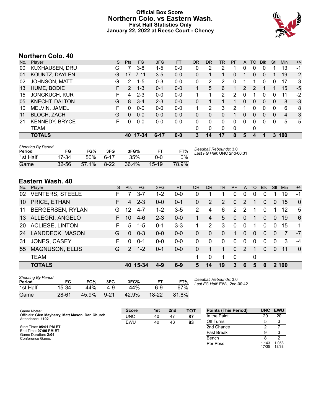#### **Official Box Score Northern Colo. vs Eastern Wash. First Half Statistics Only January 22, 2022 at Reese Court - Cheney**



# **Northern Colo. 40**

| No. | Plaver                | S  | <b>Pts</b>    | FG       | 3FG      | <b>FT</b> | <b>OR</b>    | <b>DR</b> | TR       | PF | A | TO | <b>Blk</b>   | Stl      | Min            | $+/-$ |
|-----|-----------------------|----|---------------|----------|----------|-----------|--------------|-----------|----------|----|---|----|--------------|----------|----------------|-------|
| 00  | <b>KUXHAUSEN, DRU</b> | G  |               | 3-8      | 1-5      | $0 - 0$   | 0            | 2         | 2        |    | 0 | 0  | 0            |          | 13             | -1    |
| 01  | KOUNTZ, DAYLEN        | G  | 17            | $7 - 11$ | $3 - 5$  | $0 - 0$   | 0            |           |          | 0  | 1 | 0  | $\mathbf{0}$ |          | 19             | 2     |
| 02  | <b>JOHNSON, MATT</b>  | G  | 2             | $1 - 5$  | $0 - 3$  | $0-0$     | $\mathbf{0}$ | 2         | 2        | 0  |   |    | 0            | 0        | 17             | 3     |
| 13  | HUME, BODIE           | F. | $\mathcal{P}$ | $1 - 3$  | $0 - 1$  | $0 - 0$   | 1.           | 5         | 6        |    | 2 | 2  |              |          | 15             | $-5$  |
| 15  | <b>JONGKUCH, KUR</b>  | F. | 4             | $2 - 3$  | $0 - 0$  | $0 - 0$   | 1            |           | 2        | 2  | 0 | 1  | $\Omega$     | 0        | 11             | -2    |
| 05  | <b>KNECHT, DALTON</b> | G  | 8             | $3 - 4$  | $2 - 3$  | $0 - 0$   | 0            |           |          | 1. | 0 | 0  | $\mathbf{0}$ | $\Omega$ | 8              | -3    |
| 10  | MELVIN, JAMEL         | F  | 0             | $0 - 0$  | $0-0$    | $0-0$     | 1            | 2         | 3        | 2  | 1 | 0  | 0            | 0        | 6              | 8     |
| 11  | <b>BLOCH, ZACH</b>    | G  | $\Omega$      | $0 - 0$  | $0 - 0$  | $0 - 0$   | 0            | 0         | 0        |    | 0 | 0  | $\mathbf{0}$ | $\Omega$ | $\overline{4}$ | 3     |
| 21  | <b>KENNEDY, BRYCE</b> | F. | 0             | $0-0$    | $0-0$    | $0 - 0$   | 0            | 0         | 0        | 0  | 0 | 0  | 0            | 0        | 5              | -5    |
|     | <b>TEAM</b>           |    |               |          |          |           | $\Omega$     | 0         | $\Omega$ | 0  |   | 0  |              |          |                |       |
|     | <b>TOTALS</b>         |    | 40            | 17-34    | $6 - 17$ | $0 - 0$   | 3            | 14        | 17       | 8  | 5 | 4  |              | 3        | 100            |       |

| Shooting By Period<br>Period | FG        | FG%   | 3FG      | 3FG%  |           | FT%   | Deadball Rebounds: 3,0<br>Last FG Half: UNC 2nd-00:31 |
|------------------------------|-----------|-------|----------|-------|-----------|-------|-------------------------------------------------------|
| 1st Half                     | 17-34     | .50%  | հ-17     | 35%   | ი-ი       | $0\%$ |                                                       |
| Game                         | $32 - 56$ | 57.1% | $8 - 22$ | 36.4% | $15 - 19$ | 78.9% |                                                       |

# **Eastern Wash. 40**

| No.       | Player                  | S. | <b>Pts</b>    | FG.      | 3FG     | <b>FT</b> | OR       | <b>DR</b> | <b>TR</b> | <b>PF</b>      | A        | <b>TO</b> | <b>Blk</b> | Stl            | Min   | $+/-$          |
|-----------|-------------------------|----|---------------|----------|---------|-----------|----------|-----------|-----------|----------------|----------|-----------|------------|----------------|-------|----------------|
| 02        | <b>VENTERS, STEELE</b>  | F. |               | $3 - 7$  | $1 - 2$ | $0-0$     | 0        |           |           | 0              | 0        | 0         | 0          |                | 19    | $-1$           |
| 10        | PRICE, ETHAN            | F  | 4             | $2 - 3$  | $0 - 0$ | $0 - 1$   | 0        | 2         | 2         | $\Omega$       | 2        |           | 0          | $\overline{0}$ | 15    | $\overline{0}$ |
| 11        | <b>BERGERSEN, RYLAN</b> | G  | 12            | $4 - 7$  | $1 - 2$ | $3-5$     | 2        | 4         | 6         | $\overline{2}$ | 2        |           | $\Omega$   | 1              | 12    | 5              |
| 13        | ALLEGRI, ANGELO         | F. | 10            | $4-6$    | $2 - 3$ | $0-0$     | 1        | 4         | 5         | 0              | $\Omega$ |           | $\Omega$   | $\Omega$       | 19    | 6              |
| <b>20</b> | <b>ACLIESE, LINTON</b>  | F. | 5             | $1 - 5$  | $0 - 1$ | $3 - 3$   |          | 2         | 3         | $\Omega$       | $\Omega$ |           | $\Omega$   | $\Omega$       | 15    | 1              |
| 24        | <b>LANDDECK, MASON</b>  | G  | $\Omega$      | $0 - 3$  | $0 - 0$ | $0-0$     | 0        | $\Omega$  | $\Omega$  | 1              | $\Omega$ | $\Omega$  | $\Omega$   | $\Omega$       | 7     | $-7$           |
| 31        | JONES, CASEY            | F  | 0             | $0 - 1$  | $0 - 0$ | $0-0$     | $\Omega$ | 0         | $\Omega$  | 0              | $\Omega$ | 0         | $\Omega$   | $\Omega$       | 3     | $-4$           |
| 55        | <b>MAGNUSON, ELLIS</b>  | G  | $\mathcal{P}$ | $1 - 2$  | $0 - 1$ | $0-0$     | 0        |           |           | $\Omega$       | 2        | 1         | $\Omega$   | $\Omega$       | 11    | $\Omega$       |
|           | <b>TEAM</b>             |    |               |          |         |           | 1        | 0         |           | $\mathbf 0$    |          | 0         |            |                |       |                |
|           | <b>TOTALS</b>           |    |               | 40 15-34 | $4 - 9$ | $6-9$     | 5        | 14        | 19        | 3              | 6        | 5         | $\Omega$   |                | 2 100 |                |

| <b>Shooting By Period</b><br>Period | FG        | FG%   | 3FG      | 3FG%  | FТ    | FT%   |
|-------------------------------------|-----------|-------|----------|-------|-------|-------|
| 1st Half                            | 15-34     | 44%   | 4-9      | 44%   | հ-9   | 67%   |
| Game                                | $28 - 61$ | 45.9% | $9 - 21$ | 42.9% | 18-22 | 81.8% |

*Deadball Rebounds:* 3,0 *Last FG Half:* EWU 2nd-00:42

| Game Notes:                                                          | <b>Score</b> | 1st | 2 <sub>nd</sub> | <b>TOT</b> | <b>Points (This Period)</b> |                | UNC EWU        |
|----------------------------------------------------------------------|--------------|-----|-----------------|------------|-----------------------------|----------------|----------------|
| Officials: Glen Mayberry, Matt Mason, Dan Church<br>Attendance: 1102 | <b>UNC</b>   | 40  | 47              | 87         | In the Paint                | 20             | 20             |
|                                                                      | <b>EWU</b>   | 40  | 43              | 83         | Off Turns                   |                |                |
| Start Time: 05:01 PM ET                                              |              |     |                 |            | 2nd Chance                  |                |                |
| End Time: 07:06 PM ET<br>Game Duration: 2:04                         |              |     |                 |            | <b>Fast Break</b>           |                |                |
| Conference Game:                                                     |              |     |                 |            | Bench                       |                |                |
|                                                                      |              |     |                 |            | Per Poss                    | 1.143<br>17/35 | 1.053<br>18/38 |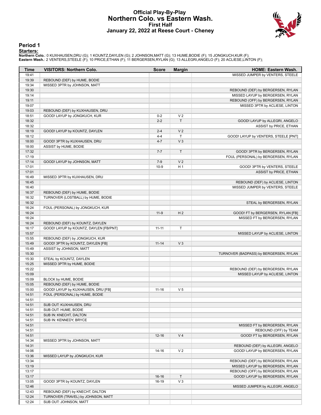#### **Official Play-By-Play Northern Colo. vs Eastern Wash. First Half January 22, 2022 at Reese Court - Cheney**



#### **Period 1**

<mark>Starters:</mark><br>Northern Colo.: 0 KUXHAUSEN,DRU (G); 1 KOUNTZ,DAYLEN (G); 2 JOHNSON,MATT (G); 13 HUME,BODIE (F); 15 JONGKUCH,KUR (F);<br>**Eastern Wash.**: 2 VENTERS,STEELE (F); 10 PRICE,ETHAN (F); 11 BERGERSEN,RYLAN (G); 13 ALLEGR

| Time           | <b>VISITORS: Northern Colo.</b>        | <b>Score</b> | <b>Margin</b>        | <b>HOME: Eastern Wash.</b>             |
|----------------|----------------------------------------|--------------|----------------------|----------------------------------------|
| 19:41          |                                        |              |                      | MISSED JUMPER by VENTERS, STEELE       |
| 19:39          | REBOUND (DEF) by HUME, BODIE           |              |                      |                                        |
| 19:34          | MISSED 3PTR by JOHNSON, MATT           |              |                      |                                        |
| 19:30          |                                        |              |                      | REBOUND (DEF) by BERGERSEN, RYLAN      |
| 19:14          |                                        |              |                      | MISSED LAYUP by BERGERSEN, RYLAN       |
| 19:11          |                                        |              |                      | REBOUND (OFF) by BERGERSEN, RYLAN      |
| 19:07          |                                        |              |                      | MISSED 3PTR by ACLIESE, LINTON         |
| 19:03          | REBOUND (DEF) by KUXHAUSEN, DRU        |              |                      |                                        |
| 18:51          | GOOD! LAYUP by JONGKUCH, KUR           | $0 - 2$      | V <sub>2</sub><br>T. |                                        |
| 18:32<br>18:32 |                                        | $2 - 2$      |                      | GOOD! LAYUP by ALLEGRI, ANGELO         |
| 18:19          | GOOD! LAYUP by KOUNTZ, DAYLEN          | $2 - 4$      | V <sub>2</sub>       | ASSIST by PRICE, ETHAN                 |
| 18:12          |                                        | $4 - 4$      | T.                   | GOOD! LAYUP by VENTERS, STEELE [PNT]   |
| 18:00          | GOOD! 3PTR by KUXHAUSEN, DRU           | $4 - 7$      | V <sub>3</sub>       |                                        |
| 18:00          | ASSIST by HUME, BODIE                  |              |                      |                                        |
| 17:32          |                                        | $7 - 7$      | $\mathsf{T}$         | GOOD! 3PTR by BERGERSEN, RYLAN         |
| 17:19          |                                        |              |                      | FOUL (PERSONAL) by BERGERSEN, RYLAN    |
| 17:14          | GOOD! LAYUP by JOHNSON, MATT           | $7-9$        | V <sub>2</sub>       |                                        |
| 17:01          |                                        | $10-9$       | H <sub>1</sub>       | GOOD! 3PTR by VENTERS, STEELE          |
| 17:01          |                                        |              |                      | ASSIST by PRICE, ETHAN                 |
| 16:49          | MISSED 3PTR by KUXHAUSEN, DRU          |              |                      |                                        |
| 16:45          |                                        |              |                      | REBOUND (DEF) by ACLIESE, LINTON       |
| 16:40          |                                        |              |                      | MISSED JUMPER by VENTERS, STEELE       |
| 16:37          | REBOUND (DEF) by HUME, BODIE           |              |                      |                                        |
| 16:32          | TURNOVER (LOSTBALL) by HUME, BODIE     |              |                      |                                        |
| 16:32          |                                        |              |                      | STEAL by BERGERSEN, RYLAN              |
| 16:24          | FOUL (PERSONAL) by JONGKUCH, KUR       |              |                      |                                        |
| 16:24          |                                        | $11-9$       | H <sub>2</sub>       | GOOD! FT by BERGERSEN, RYLAN [FB]      |
| 16:24          |                                        |              |                      | MISSED FT by BERGERSEN, RYLAN          |
| 16:24          | REBOUND (DEF) by KOUNTZ, DAYLEN        |              |                      |                                        |
| 16:17<br>15:57 | GOOD! LAYUP by KOUNTZ, DAYLEN [FB/PNT] | $11 - 11$    | T                    |                                        |
| 15:55          | REBOUND (DEF) by JONGKUCH, KUR         |              |                      | MISSED LAYUP by ACLIESE, LINTON        |
| 15:49          | GOOD! 3PTR by KOUNTZ, DAYLEN [FB]      | $11 - 14$    | V <sub>3</sub>       |                                        |
| 15:49          | ASSIST by JOHNSON, MATT                |              |                      |                                        |
| 15:30          |                                        |              |                      | TURNOVER (BADPASS) by BERGERSEN, RYLAN |
| 15:30          | STEAL by KOUNTZ, DAYLEN                |              |                      |                                        |
| 15:25          | MISSED 3PTR by HUME, BODIE             |              |                      |                                        |
| 15:22          |                                        |              |                      | REBOUND (DEF) by BERGERSEN, RYLAN      |
| 15:09          |                                        |              |                      | MISSED LAYUP by ACLIESE, LINTON        |
| 15:09          | BLOCK by HUME, BODIE                   |              |                      |                                        |
| 15:05          | REBOUND (DEF) by HUME, BODIE           |              |                      |                                        |
| 15:00          | GOOD! LAYUP by KUXHAUSEN, DRU [FB]     | $11 - 16$    | V <sub>5</sub>       |                                        |
| 14:51          | FOUL (PERSONAL) by HUME, BODIE         |              |                      |                                        |
| 14:51          |                                        |              |                      |                                        |
| 14:51          | SUB OUT: KUXHAUSEN, DRU                |              |                      |                                        |
| 14:51          | SUB OUT: HUME, BODIE                   |              |                      |                                        |
| 14:51          | SUB IN: KNECHT, DALTON                 |              |                      |                                        |
| 14:51          | SUB IN: KENNEDY, BRYCE                 |              |                      |                                        |
| 14:51          |                                        |              |                      | MISSED FT by BERGERSEN, RYLAN          |
| 14:51          |                                        |              |                      | REBOUND (OFF) by TEAM                  |
| 14:51          |                                        | $12 - 16$    | V <sub>4</sub>       | GOOD! FT by BERGERSEN, RYLAN           |
| 14:34<br>14:31 | MISSED 3PTR by JOHNSON, MATT           |              |                      | REBOUND (DEF) by ALLEGRI, ANGELO       |
|                |                                        |              | V <sub>2</sub>       | GOOD! LAYUP by BERGERSEN, RYLAN        |
| 14:06<br>13:36 | MISSED LAYUP by JONGKUCH, KUR          | 14-16        |                      |                                        |
| 13:34          |                                        |              |                      | REBOUND (DEF) by BERGERSEN, RYLAN      |
| 13:19          |                                        |              |                      | MISSED LAYUP by BERGERSEN, RYLAN       |
| 13:17          |                                        |              |                      | REBOUND (OFF) by BERGERSEN, RYLAN      |
| 13:17          |                                        | $16 - 16$    | $\mathsf{T}$         | GOOD! LAYUP by BERGERSEN, RYLAN        |
| 13:05          | GOOD! 3PTR by KOUNTZ, DAYLEN           | 16-19        | $V_3$                |                                        |
| 12:46          |                                        |              |                      | MISSED JUMPER by ALLEGRI, ANGELO       |
| 12:43          | REBOUND (DEF) by KNECHT, DALTON        |              |                      |                                        |
| 12:24          | TURNOVER (TRAVEL) by JOHNSON, MATT     |              |                      |                                        |
| 12:24          | SUB OUT: JOHNSON, MATT                 |              |                      |                                        |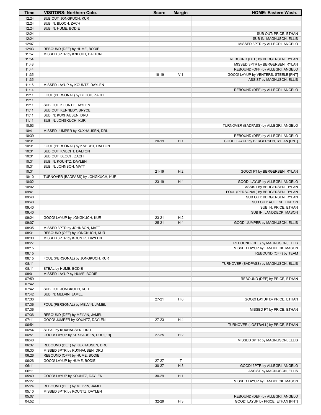| Time           | <b>VISITORS: Northern Colo.</b>                              | <b>Score</b> | <b>Margin</b>  | <b>HOME: Eastern Wash.</b>                                 |
|----------------|--------------------------------------------------------------|--------------|----------------|------------------------------------------------------------|
| 12:24          | SUB OUT: JONGKUCH, KUR                                       |              |                |                                                            |
| 12:24          | SUB IN: BLOCH, ZACH                                          |              |                |                                                            |
| 12:24          | SUB IN: HUME, BODIE                                          |              |                |                                                            |
| 12:24<br>12:24 |                                                              |              |                | SUB OUT: PRICE, ETHAN<br>SUB IN: MAGNUSON, ELLIS           |
| 12:07          |                                                              |              |                | MISSED 3PTR by ALLEGRI, ANGELO                             |
| 12:03          | REBOUND (DEF) by HUME, BODIE                                 |              |                |                                                            |
| 11:57          | MISSED 3PTR by KNECHT, DALTON                                |              |                |                                                            |
| 11:54          |                                                              |              |                | REBOUND (DEF) by BERGERSEN, RYLAN                          |
| 11:48          |                                                              |              |                | MISSED 3PTR by BERGERSEN, RYLAN                            |
| 11:44          |                                                              |              |                | REBOUND (OFF) by ALLEGRI, ANGELO                           |
| 11:35          |                                                              | 18-19        | V <sub>1</sub> | GOOD! LAYUP by VENTERS, STEELE [PNT]                       |
| 11:35          |                                                              |              |                | ASSIST by MAGNUSON, ELLIS                                  |
| 11:16          | MISSED LAYUP by KOUNTZ, DAYLEN                               |              |                |                                                            |
| 11:14<br>11:11 | FOUL (PERSONAL) by BLOCH, ZACH                               |              |                | REBOUND (DEF) by ALLEGRI, ANGELO                           |
| 11:11          |                                                              |              |                |                                                            |
| 11:11          | SUB OUT: KOUNTZ, DAYLEN                                      |              |                |                                                            |
| 11:11          | SUB OUT: KENNEDY, BRYCE                                      |              |                |                                                            |
| 11:11          | SUB IN: KUXHAUSEN, DRU                                       |              |                |                                                            |
| 11:11          | SUB IN: JONGKUCH, KUR                                        |              |                |                                                            |
| 10:53          |                                                              |              |                | TURNOVER (BADPASS) by ALLEGRI, ANGELO                      |
| 10:41          | MISSED JUMPER by KUXHAUSEN, DRU                              |              |                |                                                            |
| 10:39          |                                                              |              |                | REBOUND (DEF) by ALLEGRI, ANGELO                           |
| 10:31          |                                                              | $20-19$      | H <sub>1</sub> | GOOD! LAYUP by BERGERSEN, RYLAN [PNT]                      |
| 10:31<br>10:31 | FOUL (PERSONAL) by KNECHT, DALTON<br>SUB OUT: KNECHT, DALTON |              |                |                                                            |
| 10:31          | SUB OUT: BLOCH, ZACH                                         |              |                |                                                            |
| 10:31          | SUB IN: KOUNTZ, DAYLEN                                       |              |                |                                                            |
| 10:31          | SUB IN: JOHNSON, MATT                                        |              |                |                                                            |
| 10:31          |                                                              | $21 - 19$    | H <sub>2</sub> | GOOD! FT by BERGERSEN, RYLAN                               |
| 10:10          | TURNOVER (BADPASS) by JONGKUCH, KUR                          |              |                |                                                            |
| 10:02          |                                                              | $23-19$      | H4             | GOOD! LAYUP by ALLEGRI, ANGELO                             |
| 10:02          |                                                              |              |                | ASSIST by BERGERSEN, RYLAN                                 |
| 09:41          |                                                              |              |                | FOUL (PERSONAL) by BERGERSEN, RYLAN                        |
| 09:40          |                                                              |              |                | SUB OUT: BERGERSEN, RYLAN                                  |
| 09:40<br>09:40 |                                                              |              |                | SUB OUT: ACLIESE, LINTON<br>SUB IN: PRICE, ETHAN           |
| 09:40          |                                                              |              |                | SUB IN: LANDDECK, MASON                                    |
| 09:24          | GOOD! LAYUP by JONGKUCH, KUR                                 | 23-21        | H <sub>2</sub> |                                                            |
| 09:07          |                                                              | $25 - 21$    | H4             | GOOD! JUMPER by MAGNUSON, ELLIS                            |
| 08:35          | MISSED 3PTR by JOHNSON, MATT                                 |              |                |                                                            |
| 08:31          | REBOUND (OFF) by JONGKUCH, KUR                               |              |                |                                                            |
| 08:30          | MISSED 3PTR by KOUNTZ, DAYLEN                                |              |                |                                                            |
| 08:27          |                                                              |              |                | REBOUND (DEF) by MAGNUSON, ELLIS                           |
| 08:15          |                                                              |              |                | MISSED LAYUP by LANDDECK, MASON                            |
| 08:15<br>08:15 | FOUL (PERSONAL) by JONGKUCH, KUR                             |              |                | REBOUND (OFF) by TEAM                                      |
| 08:11          |                                                              |              |                | TURNOVER (BADPASS) by MAGNUSON, ELLIS                      |
| 08:11          | STEAL by HUME, BODIE                                         |              |                |                                                            |
| 08:01          | MISSED LAYUP by HUME, BODIE                                  |              |                |                                                            |
| 07:59          |                                                              |              |                | REBOUND (DEF) by PRICE, ETHAN                              |
| 07:42          |                                                              |              |                |                                                            |
| 07:42          | SUB OUT: JONGKUCH, KUR                                       |              |                |                                                            |
| 07:42          | SUB IN: MELVIN, JAMEL                                        |              |                |                                                            |
| 07:36          |                                                              | $27 - 21$    | H <sub>6</sub> | GOOD! LAYUP by PRICE, ETHAN                                |
| 07:36          | FOUL (PERSONAL) by MELVIN, JAMEL                             |              |                |                                                            |
| 07:36<br>07:36 | REBOUND (DEF) by MELVIN, JAMEL                               |              |                | MISSED FT by PRICE, ETHAN                                  |
| 07:11          | GOOD! JUMPER by KOUNTZ, DAYLEN                               | 27-23        | H 4            |                                                            |
| 06:54          |                                                              |              |                | TURNOVER (LOSTBALL) by PRICE, ETHAN                        |
| 06:54          | STEAL by KUXHAUSEN, DRU                                      |              |                |                                                            |
| 06:51          | GOOD! LAYUP by KUXHAUSEN, DRU [FB]                           | $27 - 25$    | H <sub>2</sub> |                                                            |
| 06:40          |                                                              |              |                | MISSED 3PTR by MAGNUSON, ELLIS                             |
| 06:37          | REBOUND (DEF) by KUXHAUSEN, DRU                              |              |                |                                                            |
| 06:30          | MISSED 3PTR by KUXHAUSEN, DRU                                |              |                |                                                            |
| 06:26          | REBOUND (OFF) by HUME, BODIE                                 |              |                |                                                            |
| 06:26          | GOOD! LAYUP by HUME, BODIE                                   | 27-27        | $\mathsf T$    |                                                            |
| 06:11<br>06:11 |                                                              | $30 - 27$    | $H_3$          | GOOD! 3PTR by ALLEGRI, ANGELO<br>ASSIST by MAGNUSON, ELLIS |
| 05:49          | GOOD! LAYUP by KOUNTZ, DAYLEN                                | $30 - 29$    | H <sub>1</sub> |                                                            |
| 05:27          |                                                              |              |                | MISSED LAYUP by LANDDECK, MASON                            |
| 05:24          | REBOUND (DEF) by MELVIN, JAMEL                               |              |                |                                                            |
| 05:10          | MISSED 3PTR by KOUNTZ, DAYLEN                                |              |                |                                                            |
| 05:07          |                                                              |              |                | REBOUND (DEF) by ALLEGRI, ANGELO                           |
| 04:52          |                                                              | 32-29        | H <sub>3</sub> | GOOD! LAYUP by PRICE, ETHAN [PNT]                          |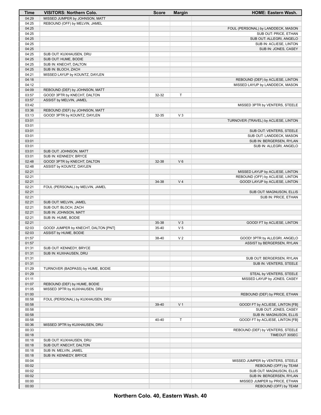| Time           | <b>VISITORS: Northern Colo.</b>      | <b>Score</b> | <b>Margin</b>  | <b>HOME: Eastern Wash.</b>                                |
|----------------|--------------------------------------|--------------|----------------|-----------------------------------------------------------|
| 04:29          | MISSED JUMPER by JOHNSON, MATT       |              |                |                                                           |
| 04:25          | REBOUND (OFF) by MELVIN, JAMEL       |              |                |                                                           |
| 04:25          |                                      |              |                | FOUL (PERSONAL) by LANDDECK, MASON                        |
| 04:25          |                                      |              |                | SUB OUT: PRICE, ETHAN                                     |
| 04:25          |                                      |              |                | SUB OUT: ALLEGRI, ANGELO                                  |
| 04:25          |                                      |              |                | SUB IN: ACLIESE, LINTON                                   |
| 04:25          |                                      |              |                | SUB IN: JONES, CASEY                                      |
| 04:25          | SUB OUT: KUXHAUSEN, DRU              |              |                |                                                           |
| 04:25          | SUB OUT: HUME, BODIE                 |              |                |                                                           |
| 04:25          | SUB IN: KNECHT, DALTON               |              |                |                                                           |
| 04:25<br>04:21 | SUB IN: BLOCH, ZACH                  |              |                |                                                           |
| 04:18          | MISSED LAYUP by KOUNTZ, DAYLEN       |              |                | REBOUND (DEF) by ACLIESE, LINTON                          |
| 04:12          |                                      |              |                | MISSED LAYUP by LANDDECK, MASON                           |
| 04:09          | REBOUND (DEF) by JOHNSON, MATT       |              |                |                                                           |
| 03:57          | GOOD! 3PTR by KNECHT, DALTON         | 32-32        | T              |                                                           |
| 03:57          | ASSIST by MELVIN, JAMEL              |              |                |                                                           |
| 03:42          |                                      |              |                | MISSED 3PTR by VENTERS, STEELE                            |
| 03:36          | REBOUND (DEF) by JOHNSON, MATT       |              |                |                                                           |
| 03:13          | GOOD! 3PTR by KOUNTZ, DAYLEN         | 32-35        | $V_3$          |                                                           |
| 03:01          |                                      |              |                | TURNOVER (TRAVEL) by ACLIESE, LINTON                      |
| 03:01          |                                      |              |                |                                                           |
| 03:01          |                                      |              |                | SUB OUT: VENTERS, STEELE                                  |
| 03:01          |                                      |              |                | SUB OUT: LANDDECK, MASON                                  |
| 03:01          |                                      |              |                | SUB IN: BERGERSEN, RYLAN                                  |
| 03:01          |                                      |              |                | SUB IN: ALLEGRI, ANGELO                                   |
| 03:01          | SUB OUT: JOHNSON, MATT               |              |                |                                                           |
| 03:01          | SUB IN: KENNEDY, BRYCE               |              |                |                                                           |
| 02:48          | GOOD! 3PTR by KNECHT, DALTON         | 32-38        | $V_6$          |                                                           |
| 02:48          | ASSIST by KOUNTZ, DAYLEN             |              |                |                                                           |
| 02:21          |                                      |              |                | MISSED LAYUP by ACLIESE, LINTON                           |
| 02:21          |                                      |              |                | REBOUND (OFF) by ACLIESE, LINTON                          |
| 02:21          |                                      | 34-38        | V <sub>4</sub> | GOOD! LAYUP by ACLIESE, LINTON                            |
| 02:21<br>02:21 | FOUL (PERSONAL) by MELVIN, JAMEL     |              |                |                                                           |
| 02:21          |                                      |              |                | SUB OUT: MAGNUSON, ELLIS<br>SUB IN: PRICE, ETHAN          |
| 02:21          | SUB OUT: MELVIN, JAMEL               |              |                |                                                           |
| 02:21          | SUB OUT: BLOCH, ZACH                 |              |                |                                                           |
| 02:21          | SUB IN: JOHNSON, MATT                |              |                |                                                           |
| 02:21          | SUB IN: HUME, BODIE                  |              |                |                                                           |
| 02:21          |                                      | 35-38        | $V_3$          | GOOD! FT by ACLIESE, LINTON                               |
| 02:03          | GOOD! JUMPER by KNECHT, DALTON [PNT] | 35-40        | V <sub>5</sub> |                                                           |
| 02:03          | ASSIST by HUME, BODIE                |              |                |                                                           |
| 01:57          |                                      | 38-40        | V <sub>2</sub> | GOOD! 3PTR by ALLEGRI, ANGELO                             |
| 01:57          |                                      |              |                | ASSIST by BERGERSEN, RYLAN                                |
| 01:31          | SUB OUT: KENNEDY, BRYCE              |              |                |                                                           |
| 01:31          | SUB IN: KUXHAUSEN, DRU               |              |                |                                                           |
| 01:31          |                                      |              |                | SUB OUT: BERGERSEN, RYLAN                                 |
| 01:31          |                                      |              |                | SUB IN: VENTERS, STEELE                                   |
| 01:29          | TURNOVER (BADPASS) by HUME, BODIE    |              |                |                                                           |
| 01:29          |                                      |              |                | STEAL by VENTERS, STEELE                                  |
| 01:11          |                                      |              |                | MISSED LAYUP by JONES, CASEY                              |
| 01:07          | REBOUND (DEF) by HUME, BODIE         |              |                |                                                           |
| 01:05          | MISSED 3PTR by KUXHAUSEN, DRU        |              |                |                                                           |
| 01:00          |                                      |              |                | REBOUND (DEF) by PRICE, ETHAN                             |
| 00:58<br>00:58 | FOUL (PERSONAL) by KUXHAUSEN, DRU    | 39-40        | V <sub>1</sub> |                                                           |
| 00:58          |                                      |              |                | GOOD! FT by ACLIESE, LINTON [FB]<br>SUB OUT: JONES, CASEY |
| 00:58          |                                      |              |                | SUB IN: MAGNUSON, ELLIS                                   |
| 00:58          |                                      | 40-40        | T              | GOOD! FT by ACLIESE, LINTON [FB]                          |
| 00:36          | MISSED 3PTR by KUXHAUSEN, DRU        |              |                |                                                           |
| 00:33          |                                      |              |                | REBOUND (DEF) by VENTERS, STEELE                          |
| 00:18          |                                      |              |                | TIMEOUT 30SEC                                             |
| 00:18          | SUB OUT: KUXHAUSEN, DRU              |              |                |                                                           |
| 00:18          | SUB OUT: KNECHT, DALTON              |              |                |                                                           |
| 00:18          | SUB IN: MELVIN, JAMEL                |              |                |                                                           |
| 00:18          | SUB IN: KENNEDY, BRYCE               |              |                |                                                           |
| 00:04          |                                      |              |                | MISSED JUMPER by VENTERS, STEELE                          |
| 00:02          |                                      |              |                | REBOUND (OFF) by TEAM                                     |
| 00:02          |                                      |              |                | SUB OUT: MAGNUSON, ELLIS                                  |
| 00:02          |                                      |              |                | SUB IN: BERGERSEN, RYLAN                                  |
| 00:00          |                                      |              |                | MISSED JUMPER by PRICE, ETHAN                             |
| 00:00          |                                      |              |                | REBOUND (OFF) by TEAM                                     |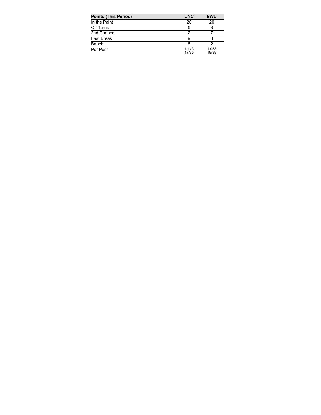| <b>Points (This Period)</b> | <b>UNC</b>     | <b>EWU</b>     |
|-----------------------------|----------------|----------------|
| In the Paint                | 20             | 20             |
| Off Turns                   | 5              |                |
| 2nd Chance                  |                |                |
| <b>Fast Break</b>           |                |                |
| Bench                       |                |                |
| Per Poss                    | 1.143<br>17/35 | 1.053<br>18/38 |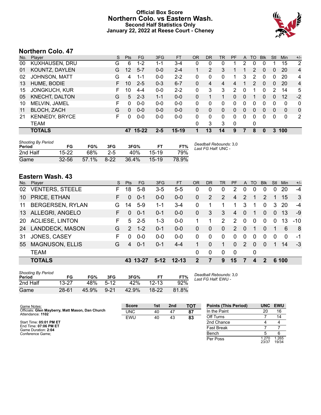### **Official Box Score Northern Colo. vs Eastern Wash. Second Half Statistics Only January 22, 2022 at Reese Court - Cheney**



# **Northern Colo. 47**

| No. | Plaver                | S  | <b>Pts</b> | FG        | 3FG     | <b>FT</b> | <b>OR</b> | <b>DR</b> | <b>TR</b> | PF | A        | TO            | <b>B</b> lk  | Stl          | Min         | $+/-$          |
|-----|-----------------------|----|------------|-----------|---------|-----------|-----------|-----------|-----------|----|----------|---------------|--------------|--------------|-------------|----------------|
| 00  | <b>KUXHAUSEN, DRU</b> | G  | 6          | $1 - 2$   | 1-1     | $3 - 4$   | 0         | 0         | 0         |    | 2        | 0             |              |              | 15          | 2              |
| 01  | KOUNTZ, DAYLEN        | G  | 12         | $5 - 7$   | $0 - 0$ | $2 - 4$   |           | 2         | 3         |    |          | 2             | $\Omega$     | 0            | 20          | $\overline{4}$ |
| 02  | <b>JOHNSON, MATT</b>  | G  | 4          | 1-1       | $0 - 0$ | $2 - 2$   | 0         | 0         | 0         | 1  | 3        | 2             | 0            | 0            | 20          | $\overline{4}$ |
| 13  | HUME, BODIE           |    | 10         | $2 - 5$   | $0 - 3$ | $6 - 7$   | 0         | 4         | 4         | 4  |          | $\mathcal{P}$ | $\mathbf{0}$ | 0            | 20          | $\overline{4}$ |
| 15  | <b>JONGKUCH, KUR</b>  | F. | 10         | 4-4       | $0 - 0$ | $2 - 2$   | 0         | 3         | 3         | 2  | 0        |               | 0            | 2            | 14          | 5              |
| 05  | KNECHT, DALTON        | G  | 5          | $2 - 3$   | $1 - 1$ | $0 - 0$   | 0         | 1         |           | 0  | 0        | 1             | $\mathbf{0}$ | $\mathbf{0}$ | 12          | $-2$           |
| 10  | MELVIN, JAMEL         | F  | 0          | $0 - 0$   | $0 - 0$ | $0 - 0$   | 0         | 0         | 0         | 0  | 0        | 0             | $\Omega$     | 0            | 0           | 0              |
| 11  | <b>BLOCH, ZACH</b>    | G  | $\Omega$   | $0 - 0$   | $0 - 0$ | $0 - 0$   | 0         | 0         | 0         | 0  | 0        | 0             | $\Omega$     | 0            | 0           | 0              |
| 21  | <b>KENNEDY, BRYCE</b> | F. | $\Omega$   | $0-0$     | $0-0$   | $0 - 0$   | 0         | $\Omega$  | $\Omega$  | 0  | $\Omega$ | 0             | $\Omega$     | $\Omega$     | $\mathbf 0$ | 2              |
|     | TEAM                  |    |            |           |         |           | 0         | 3         | 3         | 0  |          | 0             |              |              |             |                |
|     | <b>TOTALS</b>         |    | 47         | $15 - 22$ | 2-5     | 15-19     |           | 13        | 14        | 9  |          | 8             | 0            | 3            | 100         |                |
|     |                       |    |            |           |         |           |           |           |           |    |          |               |              |              |             |                |

| <b>Shooting By Period</b><br>Period | FG        | FG%   | 3FG     | 3FG%  |       | FT%   | Deadball Rebounds: 3,0<br>Last FG Half: UNC - |
|-------------------------------------|-----------|-------|---------|-------|-------|-------|-----------------------------------------------|
| 2nd Half                            | $15 - 22$ | 68%   | $2 - 5$ | 40%   | 15-19 | 79%   |                                               |
| Game                                | $32 - 56$ | 57.1% | $8-22$  | 36.4% | 15-19 | 78.9% |                                               |

# **Eastern Wash. 43**

| No.       | Player                  | S. | <b>Pts</b>    | FG.      | 3FG     | <b>FT</b> | OR             | <b>DR</b> | TR       | <b>PF</b>      | A             | TO       | <b>B</b> lk | Stl      | Min      | $+/-$        |
|-----------|-------------------------|----|---------------|----------|---------|-----------|----------------|-----------|----------|----------------|---------------|----------|-------------|----------|----------|--------------|
| 02        | <b>VENTERS, STEELE</b>  | F. | 18            | $5 - 8$  | $3-5$   | $5 - 5$   | 0              | 0         | 0        | 2              | $\Omega$      | 0        | $\Omega$    | 0        | 20       | $-4$         |
| 10        | PRICE, ETHAN            | F  | 0             | $0 - 1$  | $0 - 0$ | $0-0$     | 0              | 2         | 2        | 4              | 2             |          | 2           | 1        | 15       | $\mathbf{3}$ |
| 11        | <b>BERGERSEN, RYLAN</b> | G  | 14            | $5-9$    | 1-1     | $3 - 4$   | 0              |           |          | 1              | 3             |          | $\Omega$    | 3        | 20       | $-4$         |
| 13        | ALLEGRI, ANGELO         | F. | 0             | $0 - 1$  | $0 - 1$ | $0-0$     | $\Omega$       | 3         | 3        | $\overline{4}$ | $\Omega$      | 1        | $\Omega$    | $\Omega$ | 13       | $-9$         |
| <b>20</b> | <b>ACLIESE, LINTON</b>  | F. | 5             | $2 - 5$  | $1 - 3$ | $0-0$     |                |           | 2        | $\mathcal{P}$  | $\Omega$      | 0        | $\Omega$    | $\Omega$ | 13       | $-10$        |
| 24        | <b>LANDDECK, MASON</b>  | G  | $\mathcal{P}$ | $1 - 2$  | $0 - 1$ | $0-0$     | 0              | $\Omega$  | $\Omega$ | $\overline{2}$ | $\Omega$      | 1        | $\Omega$    | 1        | 6        | -8           |
| 31        | JONES, CASEY            | F  | $\Omega$      | $0 - 0$  | $0 - 0$ | $0-0$     | $\Omega$       | 0         | $\Omega$ | 0              | $\Omega$      | 0        | $\Omega$    | $\Omega$ | $\Omega$ | -1           |
| 55        | <b>MAGNUSON, ELLIS</b>  | G  | 4             | $0 - 1$  | $0 - 1$ | $4 - 4$   | 1.             | 0         | 1.       | $\Omega$       | $\mathcal{P}$ | $\Omega$ | $\Omega$    | 1.       | 14       | $-3$         |
|           | <b>TEAM</b>             |    |               |          |         |           | $\Omega$       | 0         | $\Omega$ | $\mathbf 0$    |               | 0        |             |          |          |              |
|           | <b>TOTALS</b>           |    |               | 43 13-27 | $5-12$  | $12 - 13$ | $\overline{2}$ | 7         | 9        | 15             | 7             | 4        | 2           |          | 6 100    |              |

| <b>Shooting By Period</b><br>Period | FG        | FG%   | 3FG      | 3FG%  | FТ        | FT%   |
|-------------------------------------|-----------|-------|----------|-------|-----------|-------|
| 2nd Half                            | $13 - 27$ | 48%   | $5-12$   | 42%   | $12 - 13$ | 92%   |
| Game                                | $28 - 61$ | 45.9% | $9 - 21$ | 42.9% | $18-22$   | 81.8% |

*Deadball Rebounds:* 3,0 *Last FG Half:* EWU -

| Game Notes:                                                          | <b>Score</b> | 1st | 2 <sub>nd</sub> | TOT | <b>Points (This Period)</b> | <b>UNC</b>     | <b>EWU</b>     |
|----------------------------------------------------------------------|--------------|-----|-----------------|-----|-----------------------------|----------------|----------------|
| Officials: Glen Mayberry, Matt Mason, Dan Church<br>Attendance: 1102 | UNC          | 40  | 47              | 87  | In the Paint                | 20             | 16             |
|                                                                      | EWU          | 40  | 43              | 83  | Off Turns                   |                | 14             |
| Start Time: 05:01 PM ET                                              |              |     |                 |     | 2nd Chance                  |                |                |
| End Time: 07:06 PM ET<br>Game Duration: 2:04                         |              |     |                 |     | <b>Fast Break</b>           |                |                |
| Conference Game:                                                     |              |     |                 |     | Bench                       |                |                |
|                                                                      |              |     |                 |     | Per Poss                    | 1.270<br>23/37 | 1.265<br>19/34 |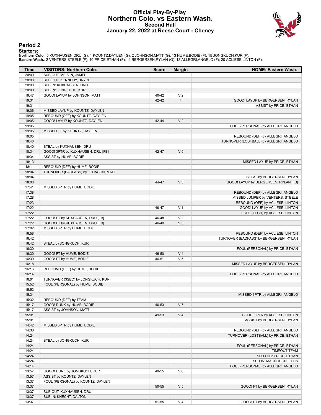#### **Official Play-By-Play Northern Colo. vs Eastern Wash. Second Half January 22, 2022 at Reese Court - Cheney**



#### **Period 2**

#### **Starters:**

**Northern Colo.**: 0 KUXHAUSEN,DRU (G); 1 KOUNTZ,DAYLEN (G); 2 JOHNSON,MATT (G); 13 HUME,BODIE (F); 15 JONGKUCH,KUR (F);<br>**Eastern Wash.**: 2 VENTERS,STEELE (F); 10 PRICE,ETHAN (F); 11 BERGERSEN,RYLAN (G); 13 ALLEGRI,ANGELO (

| Time           | <b>VISITORS: Northern Colo.</b>                                  | <b>Score</b> | <b>Margin</b>  | <b>HOME: Eastern Wash.</b>                                         |
|----------------|------------------------------------------------------------------|--------------|----------------|--------------------------------------------------------------------|
| 20:00          | SUB OUT: MELVIN, JAMEL                                           |              |                |                                                                    |
| 20:00          | SUB OUT: KENNEDY, BRYCE                                          |              |                |                                                                    |
| 20:00          | SUB IN: KUXHAUSEN, DRU                                           |              |                |                                                                    |
| 20:00          | SUB IN: JONGKUCH, KUR                                            |              |                |                                                                    |
| 19:47          | GOOD! LAYUP by JOHNSON, MATT                                     | 40-42        | V <sub>2</sub> |                                                                    |
| 19:31          |                                                                  | 42-42        | $\mathsf T$    | GOOD! LAYUP by BERGERSEN, RYLAN                                    |
| 19:31          |                                                                  |              |                | ASSIST by PRICE, ETHAN                                             |
| 19:06          | MISSED LAYUP by KOUNTZ, DAYLEN                                   |              |                |                                                                    |
| 19:05<br>19:05 | REBOUND (OFF) by KOUNTZ, DAYLEN<br>GOOD! LAYUP by KOUNTZ, DAYLEN | 42-44        | V <sub>2</sub> |                                                                    |
| 19:05          |                                                                  |              |                | FOUL (PERSONAL) by ALLEGRI, ANGELO                                 |
| 19:05          | MISSED FT by KOUNTZ, DAYLEN                                      |              |                |                                                                    |
| 19:05          |                                                                  |              |                | REBOUND (DEF) by ALLEGRI, ANGELO                                   |
| 18:40          |                                                                  |              |                | TURNOVER (LOSTBALL) by ALLEGRI, ANGELO                             |
| 18:40          | STEAL by KUXHAUSEN, DRU                                          |              |                |                                                                    |
| 18:34          | GOOD! 3PTR by KUXHAUSEN, DRU [FB]                                | 42-47        | V <sub>5</sub> |                                                                    |
| 18:34          | ASSIST by HUME, BODIE                                            |              |                |                                                                    |
| 18:13          |                                                                  |              |                | MISSED LAYUP by PRICE, ETHAN                                       |
| 18:11          | REBOUND (DEF) by HUME, BODIE                                     |              |                |                                                                    |
| 18:04          | TURNOVER (BADPASS) by JOHNSON, MATT                              |              |                |                                                                    |
| 18:04          |                                                                  |              |                | STEAL by BERGERSEN, RYLAN                                          |
| 18:00          |                                                                  | 44-47        | $V_3$          | GOOD! LAYUP by BERGERSEN, RYLAN [FB]                               |
| 17:41          | MISSED 3PTR by HUME, BODIE                                       |              |                |                                                                    |
| 17:38          |                                                                  |              |                | REBOUND (DEF) by ALLEGRI, ANGELO                                   |
| 17:28          |                                                                  |              |                | MISSED JUMPER by VENTERS, STEELE                                   |
| 17:23<br>17:22 |                                                                  |              | V <sub>1</sub> | REBOUND (OFF) by ACLIESE, LINTON<br>GOOD! LAYUP by ACLIESE, LINTON |
| 17:22          |                                                                  | 46-47        |                | FOUL (TECH) by ACLIESE, LINTON                                     |
| 17:22          | GOOD! FT by KUXHAUSEN, DRU [FB]                                  | 46-48        | V <sub>2</sub> |                                                                    |
| 17:22          | GOOD! FT by KUXHAUSEN, DRU [FB]                                  | 46-49        | $V_3$          |                                                                    |
| 17:02          | MISSED 3PTR by HUME, BODIE                                       |              |                |                                                                    |
| 16:58          |                                                                  |              |                | REBOUND (DEF) by ACLIESE, LINTON                                   |
| 16:42          |                                                                  |              |                | TURNOVER (BADPASS) by BERGERSEN, RYLAN                             |
| 16:42          | STEAL by JONGKUCH, KUR                                           |              |                |                                                                    |
| 16:30          |                                                                  |              |                | FOUL (PERSONAL) by PRICE, ETHAN                                    |
| 16:30          | GOOD! FT by HUME, BODIE                                          | 46-50        | V <sub>4</sub> |                                                                    |
| 16:30          | GOOD! FT by HUME, BODIE                                          | 46-51        | V <sub>5</sub> |                                                                    |
| 16:18          |                                                                  |              |                | MISSED LAYUP by BERGERSEN, RYLAN                                   |
| 16:16          | REBOUND (DEF) by HUME, BODIE                                     |              |                |                                                                    |
| 16:14          |                                                                  |              |                | FOUL (PERSONAL) by ALLEGRI, ANGELO                                 |
| 16:01          | TURNOVER (3SEC) by JONGKUCH, KUR                                 |              |                |                                                                    |
| 15:52          | FOUL (PERSONAL) by HUME, BODIE                                   |              |                |                                                                    |
| 15:52<br>15:34 |                                                                  |              |                | MISSED 3PTR by ALLEGRI, ANGELO                                     |
| 15:32          | REBOUND (DEF) by TEAM                                            |              |                |                                                                    |
| 15:17          | GOOD! DUNK by HUME, BODIE                                        | 46-53        | V <sub>7</sub> |                                                                    |
| 15:17          | ASSIST by JOHNSON, MATT                                          |              |                |                                                                    |
| 15:01          |                                                                  | 49-53        | V <sub>4</sub> | GOOD! 3PTR by ACLIESE, LINTON                                      |
| 15:01          |                                                                  |              |                | ASSIST by BERGERSEN, RYLAN                                         |
| 14:42          | MISSED 3PTR by HUME, BODIE                                       |              |                |                                                                    |
| 14:38          |                                                                  |              |                | REBOUND (DEF) by ALLEGRI, ANGELO                                   |
| 14:24          |                                                                  |              |                | TURNOVER (LOSTBALL) by PRICE, ETHAN                                |
| 14:24          | STEAL by JONGKUCH, KUR                                           |              |                |                                                                    |
| 14:24          |                                                                  |              |                | FOUL (PERSONAL) by PRICE, ETHAN                                    |
| 14:24          |                                                                  |              |                | <b>TIMEOUT TEAM</b>                                                |
| 14:24          |                                                                  |              |                | SUB OUT: PRICE, ETHAN                                              |
| 14:24          |                                                                  |              |                | SUB IN: MAGNUSON, ELLIS                                            |
| 14:14          |                                                                  |              |                | FOUL (PERSONAL) by ALLEGRI, ANGELO                                 |
| 13:57          | GOOD! DUNK by JONGKUCH, KUR                                      | 49-55        | $V_6$          |                                                                    |
| 13:57          | ASSIST by KOUNTZ, DAYLEN                                         |              |                |                                                                    |
| 13:37          | FOUL (PERSONAL) by KOUNTZ, DAYLEN                                |              |                |                                                                    |
| 13:37<br>13:37 |                                                                  | 50-55        | V <sub>5</sub> | GOOD! FT by BERGERSEN, RYLAN                                       |
| 13:37          | SUB OUT: KUXHAUSEN, DRU<br>SUB IN: KNECHT, DALTON                |              |                |                                                                    |
| 13:37          |                                                                  | 51-55        | V <sub>4</sub> | GOOD! FT by BERGERSEN, RYLAN                                       |
|                |                                                                  |              |                |                                                                    |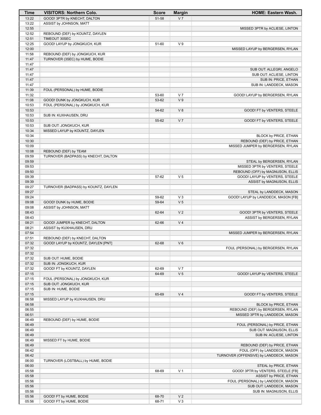| Time           | VISITORS: Northern Colo.             | <b>Score</b>   | <b>Margin</b>  | <b>HOME: Eastern Wash.</b>              |
|----------------|--------------------------------------|----------------|----------------|-----------------------------------------|
| 13:22          | GOOD! 3PTR by KNECHT, DALTON         | 51-58          | V <sub>7</sub> |                                         |
| 13:22          | ASSIST by JOHNSON, MATT              |                |                |                                         |
| 12:55          |                                      |                |                | MISSED 3PTR by ACLIESE, LINTON          |
| 12:52          | REBOUND (DEF) by KOUNTZ, DAYLEN      |                |                |                                         |
| 12:51          | TIMEOUT 30SEC                        |                |                |                                         |
| 12:25          | GOOD! LAYUP by JONGKUCH, KUR         | 51-60          | V <sub>9</sub> |                                         |
| 12:00          |                                      |                |                | MISSED LAYUP by BERGERSEN, RYLAN        |
| 11:58          | REBOUND (DEF) by JONGKUCH, KUR       |                |                |                                         |
| 11:47          | TURNOVER (3SEC) by HUME, BODIE       |                |                |                                         |
| 11:47          |                                      |                |                |                                         |
| 11:47          |                                      |                |                | SUB OUT: ALLEGRI, ANGELO                |
| 11:47          |                                      |                |                | SUB OUT: ACLIESE, LINTON                |
| 11:47          |                                      |                |                | SUB IN: PRICE, ETHAN                    |
| 11:47          |                                      |                |                | SUB IN: LANDDECK, MASON                 |
| 11:39          | FOUL (PERSONAL) by HUME, BODIE       |                | V <sub>7</sub> |                                         |
| 11:32<br>11:08 | GOOD! DUNK by JONGKUCH, KUR          | 53-60<br>53-62 | V <sub>9</sub> | GOOD! LAYUP by BERGERSEN, RYLAN         |
| 10:53          | FOUL (PERSONAL) by JONGKUCH, KUR     |                |                |                                         |
| 10:53          |                                      | 54-62          | V8             | GOOD! FT by VENTERS, STEELE             |
| 10:53          | SUB IN: KUXHAUSEN, DRU               |                |                |                                         |
| 10:53          |                                      | 55-62          | V <sub>7</sub> | GOOD! FT by VENTERS, STEELE             |
| 10:53          | SUB OUT: JONGKUCH, KUR               |                |                |                                         |
| 10:34          | MISSED LAYUP by KOUNTZ, DAYLEN       |                |                |                                         |
| 10:34          |                                      |                |                | BLOCK by PRICE, ETHAN                   |
| 10:30          |                                      |                |                | REBOUND (DEF) by PRICE, ETHAN           |
| 10:09          |                                      |                |                | MISSED JUMPER by BERGERSEN, RYLAN       |
| 10:08          | REBOUND (DEF) by TEAM                |                |                |                                         |
| 09:59          | TURNOVER (BADPASS) by KNECHT, DALTON |                |                |                                         |
| 09:59          |                                      |                |                | STEAL by BERGERSEN, RYLAN               |
| 09:53          |                                      |                |                | MISSED 3PTR by VENTERS, STEELE          |
| 09:50          |                                      |                |                | REBOUND (OFF) by MAGNUSON, ELLIS        |
| 09:39          |                                      | 57-62          | V <sub>5</sub> | GOOD! LAYUP by VENTERS, STEELE          |
| 09:39          |                                      |                |                | ASSIST by MAGNUSON, ELLIS               |
| 09:27          | TURNOVER (BADPASS) by KOUNTZ, DAYLEN |                |                |                                         |
| 09:27          |                                      |                |                | STEAL by LANDDECK, MASON                |
| 09:24          |                                      | 59-62          | $V_3$          | GOOD! LAYUP by LANDDECK, MASON [FB]     |
| 09:08          | GOOD! DUNK by HUME, BODIE            | 59-64          | V <sub>5</sub> |                                         |
| 09:08          | ASSIST by JOHNSON, MATT              |                |                |                                         |
| 08:43          |                                      | 62-64          | V <sub>2</sub> | GOOD! 3PTR by VENTERS, STEELE           |
| 08:43          |                                      |                |                | ASSIST by BERGERSEN, RYLAN              |
| 08:21          | GOOD! JUMPER by KNECHT, DALTON       | 62-66          | V <sub>4</sub> |                                         |
| 08:21          | ASSIST by KUXHAUSEN, DRU             |                |                |                                         |
| 07:54<br>07:51 | REBOUND (DEF) by KNECHT, DALTON      |                |                | MISSED JUMPER by BERGERSEN, RYLAN       |
| 07:32          | GOOD! LAYUP by KOUNTZ, DAYLEN [PNT]  | 62-68          | $V_6$          |                                         |
| 07:32          |                                      |                |                | FOUL (PERSONAL) by BERGERSEN, RYLAN     |
| 07:32          |                                      |                |                |                                         |
| 07:32          | SUB OUT: HUME, BODIE                 |                |                |                                         |
| 07:32          | SUB IN: JONGKUCH, KUR                |                |                |                                         |
| 07:32          | GOOD! FT by KOUNTZ, DAYLEN           | 62-69          | V <sub>7</sub> |                                         |
| 07:15          |                                      | 64-69          | V <sub>5</sub> | GOOD! LAYUP by VENTERS, STEELE          |
| 07:15          | FOUL (PERSONAL) by JONGKUCH, KUR     |                |                |                                         |
| 07:15          | SUB OUT: JONGKUCH, KUR               |                |                |                                         |
| 07:15          | SUB IN: HUME, BODIE                  |                |                |                                         |
| 07:15          |                                      | 65-69          | V <sub>4</sub> | GOOD! FT by VENTERS, STEELE             |
| 06:58          | MISSED LAYUP by KUXHAUSEN, DRU       |                |                |                                         |
| 06:58          |                                      |                |                | BLOCK by PRICE, ETHAN                   |
| 06:55          |                                      |                |                | REBOUND (DEF) by BERGERSEN, RYLAN       |
| 06:51          |                                      |                |                | MISSED 3PTR by LANDDECK, MASON          |
| 06:49          | REBOUND (DEF) by HUME, BODIE         |                |                |                                         |
| 06:49          |                                      |                |                | FOUL (PERSONAL) by PRICE, ETHAN         |
| 06:49          |                                      |                |                | SUB OUT: MAGNUSON, ELLIS                |
| 06:49          |                                      |                |                | SUB IN: ACLIESE, LINTON                 |
| 06:49          | MISSED FT by HUME, BODIE             |                |                |                                         |
| 06:49          |                                      |                |                | REBOUND (DEF) by PRICE, ETHAN           |
| 06:42          |                                      |                |                | FOUL (OFF) by LANDDECK, MASON           |
| 06:42          |                                      |                |                | TURNOVER (OFFENSIVE) by LANDDECK, MASON |
| 06:00          | TURNOVER (LOSTBALL) by HUME, BODIE   |                |                | STEAL by PRICE, ETHAN                   |
| 06:00<br>05:58 |                                      | 68-69          | V <sub>1</sub> | GOOD! 3PTR by VENTERS, STEELE [FB]      |
| 05:58          |                                      |                |                | ASSIST by PRICE, ETHAN                  |
| 05:56          |                                      |                |                | FOUL (PERSONAL) by LANDDECK, MASON      |
| 05:56          |                                      |                |                | SUB OUT: LANDDECK, MASON                |
| 05:56          |                                      |                |                | SUB IN: MAGNUSON, ELLIS                 |
| 05:56          | GOOD! FT by HUME, BODIE              | 68-70          | V <sub>2</sub> |                                         |
| 05:56          | GOOD! FT by HUME, BODIE              | 68-71          | $V_3$          |                                         |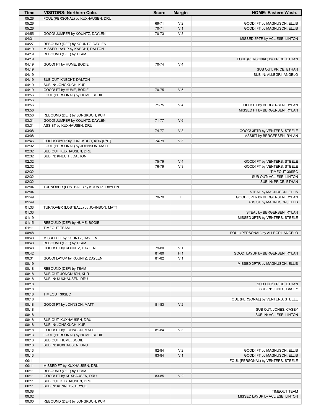| Time           | <b>VISITORS: Northern Colo.</b>                         | <b>Score</b> | <b>Margin</b>                    | <b>HOME: Eastern Wash.</b>                                        |
|----------------|---------------------------------------------------------|--------------|----------------------------------|-------------------------------------------------------------------|
| 05:26          | FOUL (PERSONAL) by KUXHAUSEN, DRU                       |              |                                  |                                                                   |
| 05:26          |                                                         | 69-71        | V <sub>2</sub>                   | GOOD! FT by MAGNUSON, ELLIS                                       |
| 05:26          |                                                         | 70-71        | V <sub>1</sub>                   | GOOD! FT by MAGNUSON, ELLIS                                       |
| 04:55          | GOOD! JUMPER by KOUNTZ, DAYLEN                          | 70-73        | $V_3$                            |                                                                   |
| 04:31          |                                                         |              |                                  | MISSED 3PTR by ACLIESE, LINTON                                    |
| 04:27          | REBOUND (DEF) by KOUNTZ, DAYLEN                         |              |                                  |                                                                   |
| 04:19<br>04:19 | MISSED LAYUP by KNECHT, DALTON<br>REBOUND (OFF) by TEAM |              |                                  |                                                                   |
| 04:19          |                                                         |              |                                  | FOUL (PERSONAL) by PRICE, ETHAN                                   |
| 04:19          | GOOD! FT by HUME, BODIE                                 | 70-74        | V <sub>4</sub>                   |                                                                   |
| 04:19          |                                                         |              |                                  | SUB OUT: PRICE, ETHAN                                             |
| 04:19          |                                                         |              |                                  | SUB IN: ALLEGRI, ANGELO                                           |
| 04:19          | SUB OUT: KNECHT, DALTON                                 |              |                                  |                                                                   |
| 04:19          | SUB IN: JONGKUCH, KUR                                   |              |                                  |                                                                   |
| 04:19          | GOOD! FT by HUME, BODIE                                 | 70-75        | V <sub>5</sub>                   |                                                                   |
| 03:56          | FOUL (PERSONAL) by HUME, BODIE                          |              |                                  |                                                                   |
| 03:56          |                                                         |              |                                  |                                                                   |
| 03:56          |                                                         | 71-75        | V <sub>4</sub>                   | GOOD! FT by BERGERSEN, RYLAN                                      |
| 03:56<br>03:56 | REBOUND (DEF) by JONGKUCH, KUR                          |              |                                  | MISSED FT by BERGERSEN, RYLAN                                     |
| 03:31          | GOOD! JUMPER by KOUNTZ, DAYLEN                          | 71-77        | $V_6$                            |                                                                   |
| 03:31          | ASSIST by KUXHAUSEN, DRU                                |              |                                  |                                                                   |
| 03:08          |                                                         | 74-77        | V <sub>3</sub>                   | GOOD! 3PTR by VENTERS, STEELE                                     |
| 03:08          |                                                         |              |                                  | ASSIST by BERGERSEN, RYLAN                                        |
| 02:46          | GOOD! LAYUP by JONGKUCH, KUR [PNT]                      | 74-79        | V <sub>5</sub>                   |                                                                   |
| 02:32          | FOUL (PERSONAL) by JOHNSON, MATT                        |              |                                  |                                                                   |
| 02:32          | SUB OUT: KUXHAUSEN, DRU                                 |              |                                  |                                                                   |
| 02:32          | SUB IN: KNECHT, DALTON                                  |              |                                  |                                                                   |
| 02:32          |                                                         | 75-79        | V <sub>4</sub>                   | GOOD! FT by VENTERS, STEELE                                       |
| 02:32          |                                                         | 76-79        | $V_3$                            | GOOD! FT by VENTERS, STEELE                                       |
| 02:32<br>02:32 |                                                         |              |                                  | TIMEOUT 30SEC<br>SUB OUT: ACLIESE, LINTON                         |
| 02:32          |                                                         |              |                                  | SUB IN: PRICE, ETHAN                                              |
| 02:04          | TURNOVER (LOSTBALL) by KOUNTZ, DAYLEN                   |              |                                  |                                                                   |
| 02:04          |                                                         |              |                                  | STEAL by MAGNUSON, ELLIS                                          |
| 01:49          |                                                         | 79-79        | T                                | GOOD! 3PTR by BERGERSEN, RYLAN                                    |
| 01:49          |                                                         |              |                                  | ASSIST by MAGNUSON, ELLIS                                         |
| 01:33          | TURNOVER (LOSTBALL) by JOHNSON, MATT                    |              |                                  |                                                                   |
| 01:33          |                                                         |              |                                  | STEAL by BERGERSEN, RYLAN                                         |
| 01:19          |                                                         |              |                                  | MISSED 3PTR by VENTERS, STEELE                                    |
| 01:15          | REBOUND (DEF) by HUME, BODIE                            |              |                                  |                                                                   |
| 01:11          | <b>TIMEOUT TEAM</b>                                     |              |                                  |                                                                   |
| 00:48<br>00:48 | MISSED FT by KOUNTZ, DAYLEN                             |              |                                  | FOUL (PERSONAL) by ALLEGRI, ANGELO                                |
| 00:48          | REBOUND (OFF) by TEAM                                   |              |                                  |                                                                   |
| 00:48          | GOOD! FT by KOUNTZ, DAYLEN                              | 79-80        | V <sub>1</sub>                   |                                                                   |
| 00:42          |                                                         | 81-80        | H <sub>1</sub>                   | GOOD! LAYUP by BERGERSEN, RYLAN                                   |
| 00:31          | GOOD! LAYUP by KOUNTZ, DAYLEN                           | 81-82        | V <sub>1</sub>                   |                                                                   |
| 00:19          |                                                         |              |                                  | MISSED 3PTR by MAGNUSON, ELLIS                                    |
| 00:18          | REBOUND (DEF) by TEAM                                   |              |                                  |                                                                   |
| 00:18          | SUB OUT: JONGKUCH, KUR                                  |              |                                  |                                                                   |
| 00:18          | SUB IN: KUXHAUSEN, DRU                                  |              |                                  |                                                                   |
| 00:18          |                                                         |              |                                  | SUB OUT: PRICE, ETHAN                                             |
| 00:18          |                                                         |              |                                  | SUB IN: JONES, CASEY                                              |
| 00:18<br>00:18 | TIMEOUT 30SEC                                           |              |                                  | FOUL (PERSONAL) by VENTERS, STEELE                                |
| 00:18          | GOOD! FT by JOHNSON, MATT                               | 81-83        | V <sub>2</sub>                   |                                                                   |
| 00:18          |                                                         |              |                                  | SUB OUT: JONES, CASEY                                             |
| 00:18          |                                                         |              |                                  | SUB IN: ACLIESE, LINTON                                           |
| 00:18          | SUB OUT: KUXHAUSEN, DRU                                 |              |                                  |                                                                   |
| 00:18          | SUB IN: JONGKUCH, KUR                                   |              |                                  |                                                                   |
| 00:18          | GOOD! FT by JOHNSON, MATT                               | 81-84        | $V_3$                            |                                                                   |
| 00:13          | FOUL (PERSONAL) by HUME, BODIE                          |              |                                  |                                                                   |
| 00:13          | SUB OUT: HUME, BODIE                                    |              |                                  |                                                                   |
| 00:13          | SUB IN: KUXHAUSEN, DRU                                  |              |                                  |                                                                   |
| 00:13          |                                                         | 82-84        | V <sub>2</sub><br>V <sub>1</sub> | GOOD! FT by MAGNUSON, ELLIS                                       |
| 00:13<br>00:11 |                                                         | 83-84        |                                  | GOOD! FT by MAGNUSON, ELLIS<br>FOUL (PERSONAL) by VENTERS, STEELE |
| 00:11          | MISSED FT by KUXHAUSEN, DRU                             |              |                                  |                                                                   |
| 00:11          | REBOUND (OFF) by TEAM                                   |              |                                  |                                                                   |
| 00:11          | GOOD! FT by KUXHAUSEN, DRU                              | 83-85        | V <sub>2</sub>                   |                                                                   |
| 00:11          | SUB OUT: KUXHAUSEN, DRU                                 |              |                                  |                                                                   |
| 00:11          | SUB IN: KENNEDY, BRYCE                                  |              |                                  |                                                                   |
| 00:08          |                                                         |              |                                  | TIMEOUT TEAM                                                      |
| 00:02          |                                                         |              |                                  | MISSED LAYUP by ACLIESE, LINTON                                   |
| 00:00          | REBOUND (DEF) by JONGKUCH, KUR                          |              |                                  |                                                                   |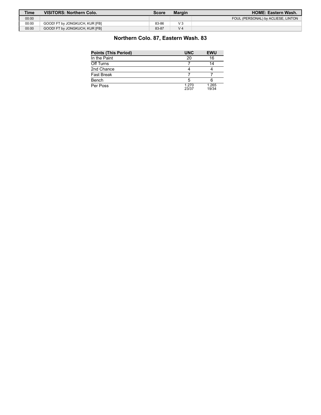| Time  | <b>VISITORS: Northern Colo.</b> | Score | <b>Margin</b>  | <b>HOME: Eastern Wash.</b>         |
|-------|---------------------------------|-------|----------------|------------------------------------|
| 00:00 |                                 |       |                | FOUL (PERSONAL) by ACLIESE, LINTON |
| 00:00 | GOOD! FT by JONGKUCH, KUR [FB]  | 83-86 | $V_3$          |                                    |
| 00:00 | GOOD! FT by JONGKUCH, KUR [FB]  | 83-87 | V <sub>4</sub> |                                    |

# **Northern Colo. 87, Eastern Wash. 83**

| <b>Points (This Period)</b> | <b>UNC</b>     | <b>EWU</b>     |
|-----------------------------|----------------|----------------|
| In the Paint                | 20             | 16             |
| Off Turns                   |                | 14             |
| 2nd Chance                  |                |                |
| Fast Break                  |                |                |
| Bench                       |                |                |
| Per Poss                    | 1.270<br>23/37 | 1.265<br>19/34 |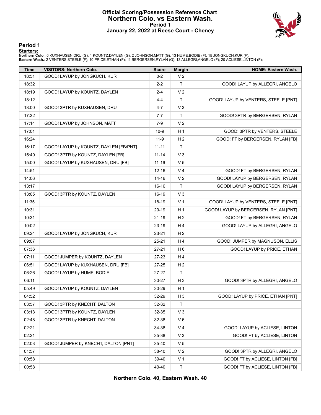#### **Official Scoring/Possession Reference Chart Northern Colo. vs Eastern Wash. Period 1 January 22, 2022 at Reese Court - Cheney**



#### **Period 1**

#### **Starters:**

**Northern Colo.**: 0 KUXHAUSEN,DRU (G); 1 KOUNTZ,DAYLEN (G); 2 JOHNSON,MATT (G); 13 HUME,BODIE (F); 15 JONGKUCH,KUR (F);<br>**Eastern Wash.**: 2 VENTERS,STEELE (F); 10 PRICE,ETHAN (F); 11 BERGERSEN,RYLAN (G); 13 ALLEGRI,ANGELO (

| <b>Time</b> | <b>VISITORS: Northern Colo.</b>        | <b>Score</b> | <b>Margin</b>  | HOME: Eastern Wash.                   |
|-------------|----------------------------------------|--------------|----------------|---------------------------------------|
| 18:51       | GOOD! LAYUP by JONGKUCH, KUR           | $0 - 2$      | V <sub>2</sub> |                                       |
| 18:32       |                                        | $2 - 2$      | $\mathsf{T}$   | GOOD! LAYUP by ALLEGRI, ANGELO        |
| 18:19       | GOOD! LAYUP by KOUNTZ, DAYLEN          | $2 - 4$      | V <sub>2</sub> |                                       |
| 18:12       |                                        | $4 - 4$      | $\mathsf{T}$   | GOOD! LAYUP by VENTERS, STEELE [PNT]  |
| 18:00       | GOOD! 3PTR by KUXHAUSEN, DRU           | $4 - 7$      | $V_3$          |                                       |
| 17:32       |                                        | $7 - 7$      | $\mathsf{T}$   | GOOD! 3PTR by BERGERSEN, RYLAN        |
| 17:14       | GOOD! LAYUP by JOHNSON, MATT           | $7-9$        | V <sub>2</sub> |                                       |
| 17:01       |                                        | $10-9$       | H <sub>1</sub> | GOOD! 3PTR by VENTERS, STEELE         |
| 16:24       |                                        | $11-9$       | H <sub>2</sub> | GOOD! FT by BERGERSEN, RYLAN [FB]     |
| 16:17       | GOOD! LAYUP by KOUNTZ, DAYLEN [FB/PNT] | $11 - 11$    | T              |                                       |
| 15:49       | GOOD! 3PTR by KOUNTZ, DAYLEN [FB]      | $11 - 14$    | $V_3$          |                                       |
| 15:00       | GOOD! LAYUP by KUXHAUSEN, DRU [FB]     | $11 - 16$    | V <sub>5</sub> |                                       |
| 14:51       |                                        | $12 - 16$    | V <sub>4</sub> | GOOD! FT by BERGERSEN, RYLAN          |
| 14:06       |                                        | 14-16        | V <sub>2</sub> | GOOD! LAYUP by BERGERSEN, RYLAN       |
| 13:17       |                                        | $16-16$      | $\mathsf{T}$   | GOOD! LAYUP by BERGERSEN, RYLAN       |
| 13:05       | GOOD! 3PTR by KOUNTZ, DAYLEN           | 16-19        | V <sub>3</sub> |                                       |
| 11:35       |                                        | 18-19        | V <sub>1</sub> | GOOD! LAYUP by VENTERS, STEELE [PNT]  |
| 10:31       |                                        | 20-19        | H <sub>1</sub> | GOOD! LAYUP by BERGERSEN, RYLAN [PNT] |
| 10:31       |                                        | $21 - 19$    | H <sub>2</sub> | GOOD! FT by BERGERSEN, RYLAN          |
| 10:02       |                                        | 23-19        | H <sub>4</sub> | GOOD! LAYUP by ALLEGRI, ANGELO        |
| 09:24       | GOOD! LAYUP by JONGKUCH, KUR           | 23-21        | H <sub>2</sub> |                                       |
| 09:07       |                                        | 25-21        | H <sub>4</sub> | GOOD! JUMPER by MAGNUSON, ELLIS       |
| 07:36       |                                        | $27 - 21$    | H <sub>6</sub> | GOOD! LAYUP by PRICE, ETHAN           |
| 07:11       | GOOD! JUMPER by KOUNTZ, DAYLEN         | 27-23        | H <sub>4</sub> |                                       |
| 06:51       | GOOD! LAYUP by KUXHAUSEN, DRU [FB]     | 27-25        | H <sub>2</sub> |                                       |
| 06:26       | GOOD! LAYUP by HUME, BODIE             | 27-27        | $\mathsf{T}$   |                                       |
| 06:11       |                                        | 30-27        | $H_3$          | GOOD! 3PTR by ALLEGRI, ANGELO         |
| 05:49       | GOOD! LAYUP by KOUNTZ, DAYLEN          | 30-29        | H <sub>1</sub> |                                       |
| 04:52       |                                        | 32-29        | $H_3$          | GOOD! LAYUP by PRICE, ETHAN [PNT]     |
| 03:57       | GOOD! 3PTR by KNECHT, DALTON           | 32-32        | $\mathsf T$    |                                       |
| 03:13       | GOOD! 3PTR by KOUNTZ, DAYLEN           | 32-35        | $V_3$          |                                       |
| 02:48       | GOOD! 3PTR by KNECHT, DALTON           | 32-38        | $V_6$          |                                       |
| 02:21       |                                        | 34-38        | V <sub>4</sub> | GOOD! LAYUP by ACLIESE, LINTON        |
| 02:21       |                                        | 35-38        | V <sub>3</sub> | GOOD! FT by ACLIESE, LINTON           |
| 02:03       | GOOD! JUMPER by KNECHT, DALTON [PNT]   | 35-40        | V <sub>5</sub> |                                       |
| 01:57       |                                        | 38-40        | V <sub>2</sub> | GOOD! 3PTR by ALLEGRI, ANGELO         |
| 00:58       |                                        | 39-40        | V <sub>1</sub> | GOOD! FT by ACLIESE, LINTON [FB]      |
| 00:58       |                                        | 40-40        | $\mathsf T$    | GOOD! FT by ACLIESE, LINTON [FB]      |

**Northern Colo. 40, Eastern Wash. 40**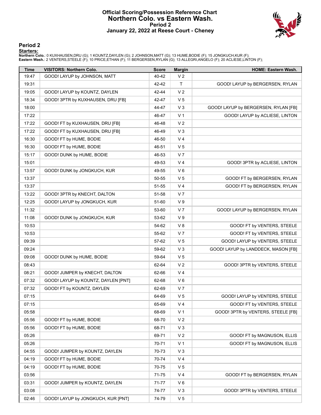#### **Official Scoring/Possession Reference Chart Northern Colo. vs Eastern Wash. Period 2 January 22, 2022 at Reese Court - Cheney**



#### **Period 2**

#### **Starters:**

**Northern Colo.**: 0 KUXHAUSEN,DRU (G); 1 KOUNTZ,DAYLEN (G); 2 JOHNSON,MATT (G); 13 HUME,BODIE (F); 15 JONGKUCH,KUR (F);<br>**Eastern Wash.**: 2 VENTERS,STEELE (F); 10 PRICE,ETHAN (F); 11 BERGERSEN,RYLAN (G); 13 ALLEGRI,ANGELO (

| <b>Time</b> | <b>VISITORS: Northern Colo.</b>     | <b>Score</b> | <b>Margin</b>  | HOME: Eastern Wash.                  |
|-------------|-------------------------------------|--------------|----------------|--------------------------------------|
| 19:47       | GOOD! LAYUP by JOHNSON, MATT        | 40-42        | V <sub>2</sub> |                                      |
| 19:31       |                                     | 42-42        | T              | GOOD! LAYUP by BERGERSEN, RYLAN      |
| 19:05       | GOOD! LAYUP by KOUNTZ, DAYLEN       | 42-44        | V <sub>2</sub> |                                      |
| 18:34       | GOOD! 3PTR by KUXHAUSEN, DRU [FB]   | 42-47        | V <sub>5</sub> |                                      |
| 18:00       |                                     | 44-47        | $V_3$          | GOOD! LAYUP by BERGERSEN, RYLAN [FB] |
| 17:22       |                                     | 46-47        | V <sub>1</sub> | GOOD! LAYUP by ACLIESE, LINTON       |
| 17:22       | GOOD! FT by KUXHAUSEN, DRU [FB]     | 46-48        | V <sub>2</sub> |                                      |
| 17:22       | GOOD! FT by KUXHAUSEN, DRU [FB]     | 46-49        | $V_3$          |                                      |
| 16:30       | GOOD! FT by HUME, BODIE             | 46-50        | V <sub>4</sub> |                                      |
| 16:30       | GOOD! FT by HUME, BODIE             | 46-51        | V <sub>5</sub> |                                      |
| 15:17       | GOOD! DUNK by HUME, BODIE           | 46-53        | V <sub>7</sub> |                                      |
| 15:01       |                                     | 49-53        | V <sub>4</sub> | GOOD! 3PTR by ACLIESE, LINTON        |
| 13:57       | GOOD! DUNK by JONGKUCH, KUR         | 49-55        | $V_6$          |                                      |
| 13:37       |                                     | 50-55        | V <sub>5</sub> | GOOD! FT by BERGERSEN, RYLAN         |
| 13:37       |                                     | 51-55        | V <sub>4</sub> | GOOD! FT by BERGERSEN, RYLAN         |
| 13:22       | GOOD! 3PTR by KNECHT, DALTON        | 51-58        | V <sub>7</sub> |                                      |
| 12:25       | GOOD! LAYUP by JONGKUCH, KUR        | 51-60        | V <sub>9</sub> |                                      |
| 11:32       |                                     | 53-60        | V <sub>7</sub> | GOOD! LAYUP by BERGERSEN, RYLAN      |
| 11:08       | GOOD! DUNK by JONGKUCH, KUR         | 53-62        | V <sub>9</sub> |                                      |
| 10:53       |                                     | 54-62        | V8             | GOOD! FT by VENTERS, STEELE          |
| 10:53       |                                     | 55-62        | V <sub>7</sub> | GOOD! FT by VENTERS, STEELE          |
| 09:39       |                                     | 57-62        | V <sub>5</sub> | GOOD! LAYUP by VENTERS, STEELE       |
| 09:24       |                                     | 59-62        | $V_3$          | GOOD! LAYUP by LANDDECK, MASON [FB]  |
| 09:08       | GOOD! DUNK by HUME, BODIE           | 59-64        | V <sub>5</sub> |                                      |
| 08:43       |                                     | 62-64        | V <sub>2</sub> | GOOD! 3PTR by VENTERS, STEELE        |
| 08:21       | GOOD! JUMPER by KNECHT, DALTON      | 62-66        | V <sub>4</sub> |                                      |
| 07:32       | GOOD! LAYUP by KOUNTZ, DAYLEN [PNT] | 62-68        | $V_6$          |                                      |
| 07:32       | GOOD! FT by KOUNTZ, DAYLEN          | 62-69        | V <sub>7</sub> |                                      |
| 07:15       |                                     | 64-69        | V <sub>5</sub> | GOOD! LAYUP by VENTERS, STEELE       |
| 07:15       |                                     | 65-69        | V <sub>4</sub> | GOOD! FT by VENTERS, STEELE          |
| 05:58       |                                     | 68-69        | V <sub>1</sub> | GOOD! 3PTR by VENTERS, STEELE [FB]   |
| 05:56       | GOOD! FT by HUME, BODIE             | 68-70        | V <sub>2</sub> |                                      |
| 05:56       | GOOD! FT by HUME, BODIE             | 68-71        | $V_3$          |                                      |
| 05:26       |                                     | 69-71        | V <sub>2</sub> | GOOD! FT by MAGNUSON, ELLIS          |
| 05:26       |                                     | 70-71        | V <sub>1</sub> | GOOD! FT by MAGNUSON, ELLIS          |
| 04:55       | GOOD! JUMPER by KOUNTZ, DAYLEN      | 70-73        | $V_3$          |                                      |
| 04:19       | GOOD! FT by HUME, BODIE             | 70-74        | V <sub>4</sub> |                                      |
| 04:19       | GOOD! FT by HUME, BODIE             | 70-75        | V <sub>5</sub> |                                      |
| 03:56       |                                     | 71-75        | V <sub>4</sub> | GOOD! FT by BERGERSEN, RYLAN         |
| 03:31       | GOOD! JUMPER by KOUNTZ, DAYLEN      | 71-77        | $V_6$          |                                      |
| 03:08       |                                     | 74-77        | $V_3$          | GOOD! 3PTR by VENTERS, STEELE        |
| 02:46       | GOOD! LAYUP by JONGKUCH, KUR [PNT]  | 74-79        | V <sub>5</sub> |                                      |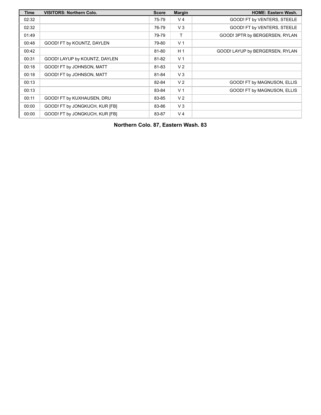| Time  | <b>VISITORS: Northern Colo.</b> | <b>Score</b> | <b>Margin</b>  | <b>HOME: Eastern Wash.</b>      |
|-------|---------------------------------|--------------|----------------|---------------------------------|
| 02:32 |                                 | 75-79        | V <sub>4</sub> | GOOD! FT by VENTERS, STEELE     |
| 02:32 |                                 | 76-79        | $V_3$          | GOOD! FT by VENTERS, STEELE     |
| 01:49 |                                 | 79-79        | Τ              | GOOD! 3PTR by BERGERSEN, RYLAN  |
| 00:48 | GOOD! FT by KOUNTZ, DAYLEN      | 79-80        | V <sub>1</sub> |                                 |
| 00:42 |                                 | 81-80        | H <sub>1</sub> | GOOD! LAYUP by BERGERSEN, RYLAN |
| 00:31 | GOOD! LAYUP by KOUNTZ, DAYLEN   | 81-82        | V <sub>1</sub> |                                 |
| 00:18 | GOOD! FT by JOHNSON, MATT       | 81-83        | V <sub>2</sub> |                                 |
| 00:18 | GOOD! FT by JOHNSON, MATT       | 81-84        | $V_3$          |                                 |
| 00:13 |                                 | 82-84        | V <sub>2</sub> | GOOD! FT by MAGNUSON, ELLIS     |
| 00:13 |                                 | 83-84        | V <sub>1</sub> | GOOD! FT by MAGNUSON, ELLIS     |
| 00:11 | GOOD! FT by KUXHAUSEN, DRU      | 83-85        | V <sub>2</sub> |                                 |
| 00:00 | GOOD! FT by JONGKUCH, KUR [FB]  | 83-86        | $V_3$          |                                 |
| 00:00 | GOOD! FT by JONGKUCH, KUR [FB]  | 83-87        | V <sub>4</sub> |                                 |

**Northern Colo. 87, Eastern Wash. 83**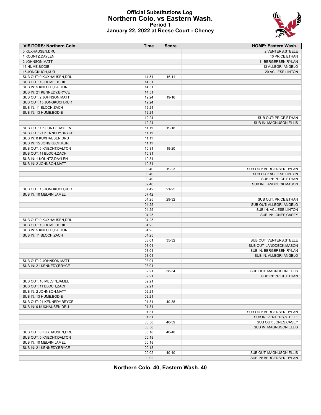#### **Official Substitutions Log Northern Colo. vs Eastern Wash. Period 1 January 22, 2022 at Reese Court - Cheney**



| <b>VISITORS: Northern Colo.</b> | <b>Time</b> | Score     | <b>HOME: Eastern Wash.</b>                       |
|---------------------------------|-------------|-----------|--------------------------------------------------|
| 0 KUXHAUSEN, DRU                |             |           | 2 VENTERS, STEELE                                |
| 1 KOUNTZ, DAYLEN                |             |           | 10 PRICE, ETHAN                                  |
| 2 JOHNSON, MATT                 |             |           | 11 BERGERSEN, RYLAN                              |
| 13 HUME, BODIE                  |             |           | 13 ALLEGRI, ANGELO                               |
| 15 JONGKUCH, KUR                |             |           | 20 ACLIESE, LINTON                               |
| SUB OUT: 0 KUXHAUSEN, DRU       | 14:51       | 16-11     |                                                  |
| SUB OUT: 13 HUME, BODIE         | 14:51       |           |                                                  |
| SUB IN: 5 KNECHT, DALTON        | 14:51       |           |                                                  |
| SUB IN: 21 KENNEDY, BRYCE       | 14:51       |           |                                                  |
| SUB OUT: 2 JOHNSON, MATT        | 12:24       | 19-16     |                                                  |
| SUB OUT: 15 JONGKUCH, KUR       | 12:24       |           |                                                  |
| SUB IN: 11 BLOCH, ZACH          | 12:24       |           |                                                  |
| SUB IN: 13 HUME, BODIE          | 12:24       |           |                                                  |
|                                 | 12:24       |           | SUB OUT: PRICE, ETHAN                            |
|                                 | 12:24       |           | <b>SUB IN: MAGNUSON, ELLIS</b>                   |
| SUB OUT: 1 KOUNTZ, DAYLEN       | 11:11       | 19-18     |                                                  |
| SUB OUT: 21 KENNEDY, BRYCE      | 11:11       |           |                                                  |
| SUB IN: 0 KUXHAUSEN, DRU        | 11:11       |           |                                                  |
| SUB IN: 15 JONGKUCH, KUR        | 11:11       |           |                                                  |
| SUB OUT: 5 KNECHT, DALTON       | 10:31       | 19-20     |                                                  |
| SUB OUT: 11 BLOCH, ZACH         | 10:31       |           |                                                  |
| SUB IN: 1 KOUNTZ, DAYLEN        | 10:31       |           |                                                  |
| SUB IN: 2 JOHNSON, MATT         | 10:31       |           |                                                  |
|                                 | 09:40       | 19-23     |                                                  |
|                                 | 09:40       |           | SUB OUT: BERGERSEN, RYLAN                        |
|                                 |             |           | SUB OUT: ACLIESE, LINTON<br>SUB IN: PRICE, ETHAN |
|                                 | 09:40       |           |                                                  |
|                                 | 09:40       |           | SUB IN: LANDDECK, MASON                          |
| SUB OUT: 15 JONGKUCH, KUR       | 07:42       | $21 - 25$ |                                                  |
| SUB IN: 10 MELVIN, JAMEL        | 07:42       |           |                                                  |
|                                 | 04:25       | 29-32     | SUB OUT: PRICE, ETHAN                            |
|                                 | 04:25       |           | SUB OUT: ALLEGRI, ANGELO                         |
|                                 | 04:25       |           | SUB IN: ACLIESE, LINTON                          |
|                                 | 04:25       |           | SUB IN: JONES, CASEY                             |
| SUB OUT: 0 KUXHAUSEN, DRU       | 04:25       |           |                                                  |
| SUB OUT: 13 HUME, BODIE         | 04:25       |           |                                                  |
| SUB IN: 5 KNECHT, DALTON        | 04:25       |           |                                                  |
| SUB IN: 11 BLOCH, ZACH          | 04:25       |           |                                                  |
|                                 | 03:01       | 35-32     | SUB OUT: VENTERS, STEELE                         |
|                                 | 03:01       |           | SUB OUT: LANDDECK, MASON                         |
|                                 | 03:01       |           | SUB IN: BERGERSEN, RYLAN                         |
|                                 | 03:01       |           | SUB IN: ALLEGRI, ANGELO                          |
| SUB OUT: 2 JOHNSON, MATT        | 03:01       |           |                                                  |
| SUB IN: 21 KENNEDY, BRYCE       | 03:01       |           |                                                  |
|                                 | 02:21       | 38-34     | SUB OUT: MAGNUSON, ELLIS                         |
|                                 | 02:21       |           | SUB IN: PRICE, ETHAN                             |
| SUB OUT: 10 MELVIN, JAMEL       | 02:21       |           |                                                  |
| SUB OUT: 11 BLOCH, ZACH         | 02:21       |           |                                                  |
| SUB IN: 2 JOHNSON, MATT         | 02:21       |           |                                                  |
| SUB IN: 13 HUME, BODIE          | 02:21       |           |                                                  |
| SUB OUT: 21 KENNEDY, BRYCE      | 01:31       | 40-38     |                                                  |
| SUB IN: 0 KUXHAUSEN, DRU        | 01:31       |           |                                                  |
|                                 | 01:31       |           | SUB OUT: BERGERSEN, RYLAN                        |
|                                 | 01:31       |           | SUB IN: VENTERS, STEELE                          |
|                                 | 00:58       | 40-39     | SUB OUT: JONES, CASEY                            |
|                                 | 00:58       |           | SUB IN: MAGNUSON, ELLIS                          |
| SUB OUT: 0 KUXHAUSEN, DRU       | 00:18       | 40-40     |                                                  |
| SUB OUT: 5 KNECHT, DALTON       | 00:18       |           |                                                  |
| SUB IN: 10 MELVIN, JAMEL        | 00:18       |           |                                                  |
| SUB IN: 21 KENNEDY, BRYCE       | 00:18       |           |                                                  |
|                                 | 00:02       | 40-40     | SUB OUT: MAGNUSON, ELLIS                         |
|                                 | 00:02       |           | SUB IN: BERGERSEN, RYLAN                         |

**Northern Colo. 40, Eastern Wash. 40**